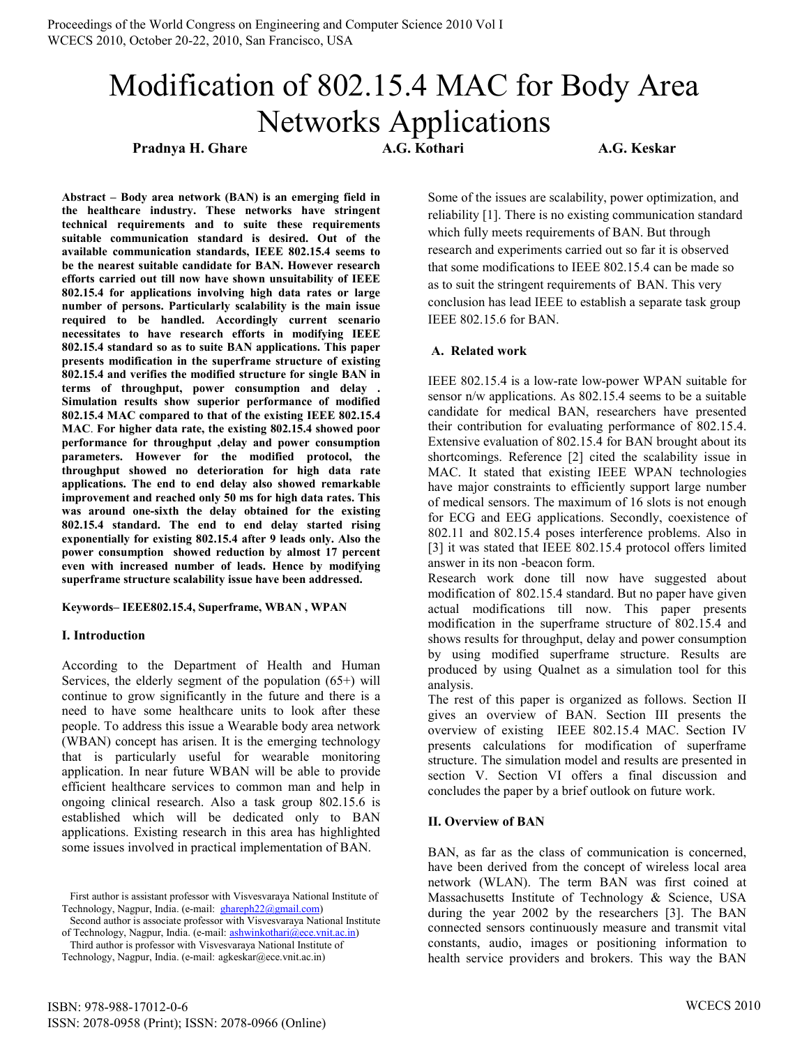# Modification of 802.15.4 MAC for Body Area Networks Applications

**Pradnya H. Ghare A.G. Kothari A.G. Keskar** 

**Abstract – Body area network (BAN) is an emerging field in the healthcare industry. These networks have stringent technical requirements and to suite these requirements suitable communication standard is desired. Out of the available communication standards, IEEE 802.15.4 seems to be the nearest suitable candidate for BAN. However research efforts carried out till now have shown unsuitability of IEEE 802.15.4 for applications involving high data rates or large number of persons. Particularly scalability is the main issue required to be handled. Accordingly current scenario necessitates to have research efforts in modifying IEEE 802.15.4 standard so as to suite BAN applications. This paper presents modification in the superframe structure of existing 802.15.4 and verifies the modified structure for single BAN in terms of throughput, power consumption and delay . Simulation results show superior performance of modified 802.15.4 MAC compared to that of the existing IEEE 802.15.4 MAC**. **For higher data rate, the existing 802.15.4 showed poor performance for throughput ,delay and power consumption parameters. However for the modified protocol, the throughput showed no deterioration for high data rate applications. The end to end delay also showed remarkable improvement and reached only 50 ms for high data rates. This was around one-sixth the delay obtained for the existing 802.15.4 standard. The end to end delay started rising exponentially for existing 802.15.4 after 9 leads only. Also the power consumption showed reduction by almost 17 percent even with increased number of leads. Hence by modifying superframe structure scalability issue have been addressed.** 

**Keywords– IEEE802.15.4, Superframe, WBAN , WPAN** 

## **I. Introduction**

According to the Department of Health and Human Services, the elderly segment of the population (65+) will continue to grow significantly in the future and there is a need to have some healthcare units to look after these people. To address this issue a Wearable body area network (WBAN) concept has arisen. It is the emerging technology that is particularly useful for wearable monitoring application. In near future WBAN will be able to provide efficient healthcare services to common man and help in ongoing clinical research. Also a task group 802.15.6 is established which will be dedicated only to BAN applications. Existing research in this area has highlighted some issues involved in practical implementation of BAN.

 First author is assistant professor with Visvesvaraya National Institute of Technology, Nagpur, India. (e-mail: [ghareph22@gmail.com\)](mailto:ghareph22@gmail.com)

Second author is associate professor with Visvesvaraya National Institute of Technology, Nagpur, India. (e-mail: [ashwinkothari@ece.vnit.ac.in\)](mailto:ashwinkothari@ece.vnit.ac.in)

 Third author is professor with Visvesvaraya National Institute of Technology, Nagpur, India. (e-mail: agkeskar@ece.vnit.ac.in)

Some of the issues are scalability, power optimization, and reliability [1]. There is no existing communication standard which fully meets requirements of BAN. But through research and experiments carried out so far it is observed that some modifications to IEEE 802.15.4 can be made so as to suit the stringent requirements of BAN. This very conclusion has lead IEEE to establish a separate task group IEEE 802.15.6 for BAN.

## **A. Related work**

IEEE 802.15.4 is a low-rate low-power WPAN suitable for sensor n/w applications. As 802.15.4 seems to be a suitable candidate for medical BAN, researchers have presented their contribution for evaluating performance of 802.15.4. Extensive evaluation of 802.15.4 for BAN brought about its shortcomings. Reference [2] cited the scalability issue in MAC. It stated that existing IEEE WPAN technologies have major constraints to efficiently support large number of medical sensors. The maximum of 16 slots is not enough for ECG and EEG applications. Secondly, coexistence of 802.11 and 802.15.4 poses interference problems. Also in [3] it was stated that IEEE 802.15.4 protocol offers limited answer in its non -beacon form.

Research work done till now have suggested about modification of 802.15.4 standard. But no paper have given actual modifications till now. This paper presents modification in the superframe structure of 802.15.4 and shows results for throughput, delay and power consumption by using modified superframe structure. Results are produced by using Qualnet as a simulation tool for this analysis.

The rest of this paper is organized as follows. Section II gives an overview of BAN. Section III presents the overview of existing IEEE 802.15.4 MAC. Section IV presents calculations for modification of superframe structure. The simulation model and results are presented in section V. Section VI offers a final discussion and concludes the paper by a brief outlook on future work.

## **II. Overview of BAN**

BAN, as far as the class of communication is concerned, have been derived from the concept of wireless local area network (WLAN). The term BAN was first coined at Massachusetts Institute of Technology & Science, USA during the year 2002 by the researchers [3]. The BAN connected sensors continuously measure and transmit vital constants, audio, images or positioning information to health service providers and brokers. This way the BAN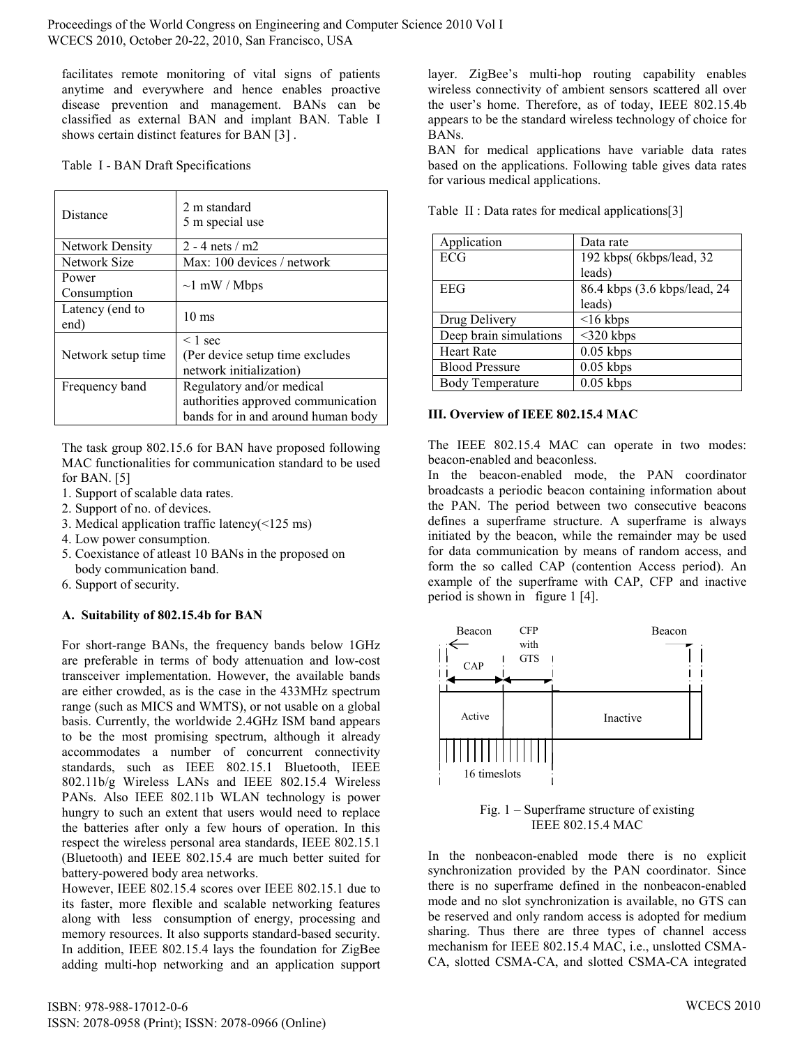facilitates remote monitoring of vital signs of patients anytime and everywhere and hence enables proactive disease prevention and management. BANs can be classified as external BAN and implant BAN. Table I shows certain distinct features for BAN [3] .

Table I - BAN Draft Specifications

| Distance                | 2 m standard<br>5 m special use                                                                       |
|-------------------------|-------------------------------------------------------------------------------------------------------|
| <b>Network Density</b>  | 2 - 4 nets $/m2$                                                                                      |
| Network Size            | Max: 100 devices / network                                                                            |
| Power<br>Consumption    | $\sim$ l mW / Mbps                                                                                    |
| Latency (end to<br>end) | $10 \text{ ms}$                                                                                       |
| Network setup time      | $\leq 1$ sec<br>(Per device setup time excludes<br>network initialization)                            |
| Frequency band          | Regulatory and/or medical<br>authorities approved communication<br>bands for in and around human body |

The task group 802.15.6 for BAN have proposed following MAC functionalities for communication standard to be used for BAN. [5]

- 1. Support of scalable data rates.
- 2. Support of no. of devices.
- 3. Medical application traffic latency(<125 ms)
- 4. Low power consumption.
- 5. Coexistance of atleast 10 BANs in the proposed on body communication band.
- 6. Support of security.

## **A. Suitability of 802.15.4b for BAN**

For short-range BANs, the frequency bands below 1GHz are preferable in terms of body attenuation and low-cost transceiver implementation. However, the available bands are either crowded, as is the case in the 433MHz spectrum range (such as MICS and WMTS), or not usable on a global basis. Currently, the worldwide 2.4GHz ISM band appears to be the most promising spectrum, although it already accommodates a number of concurrent connectivity standards, such as IEEE 802.15.1 Bluetooth, IEEE 802.11b/g Wireless LANs and IEEE 802.15.4 Wireless PANs. Also IEEE 802.11b WLAN technology is power hungry to such an extent that users would need to replace the batteries after only a few hours of operation. In this respect the wireless personal area standards, IEEE 802.15.1 (Bluetooth) and IEEE 802.15.4 are much better suited for battery-powered body area networks.

However, IEEE 802.15.4 scores over IEEE 802.15.1 due to its faster, more flexible and scalable networking features along with less consumption of energy, processing and memory resources. It also supports standard-based security. In addition, IEEE 802.15.4 lays the foundation for ZigBee adding multi-hop networking and an application support layer. ZigBee's multi-hop routing capability enables wireless connectivity of ambient sensors scattered all over the user's home. Therefore, as of today, IEEE 802.15.4b appears to be the standard wireless technology of choice for BANs.

BAN for medical applications have variable data rates based on the applications. Following table gives data rates for various medical applications.

| Application             | Data rate                    |
|-------------------------|------------------------------|
| ECG                     | 192 kbps(6kbps/lead, 32      |
|                         | leads)                       |
| EEG                     | 86.4 kbps (3.6 kbps/lead, 24 |
|                         | leads)                       |
| Drug Delivery           | $<$ 16 kbps                  |
| Deep brain simulations  | $<$ 320 kbps                 |
| <b>Heart Rate</b>       | $0.05$ kbps                  |
| <b>Blood Pressure</b>   | $0.05$ kbps                  |
| <b>Body Temperature</b> | $0.05$ kbps                  |

Table II : Data rates for medical applications[3]

## **III. Overview of IEEE 802.15.4 MAC**

The IEEE 802.15.4 MAC can operate in two modes: beacon-enabled and beaconless.

In the beacon-enabled mode, the PAN coordinator broadcasts a periodic beacon containing information about the PAN. The period between two consecutive beacons defines a superframe structure. A superframe is always initiated by the beacon, while the remainder may be used for data communication by means of random access, and form the so called CAP (contention Access period). An example of the superframe with CAP, CFP and inactive period is shown in figure 1 [4].



Fig. 1 – Superframe structure of existing IEEE 802.15.4 MAC

In the nonbeacon-enabled mode there is no explicit synchronization provided by the PAN coordinator. Since there is no superframe defined in the nonbeacon-enabled mode and no slot synchronization is available, no GTS can be reserved and only random access is adopted for medium sharing. Thus there are three types of channel access mechanism for IEEE 802.15.4 MAC, i.e., unslotted CSMA-CA, slotted CSMA-CA, and slotted CSMA-CA integrated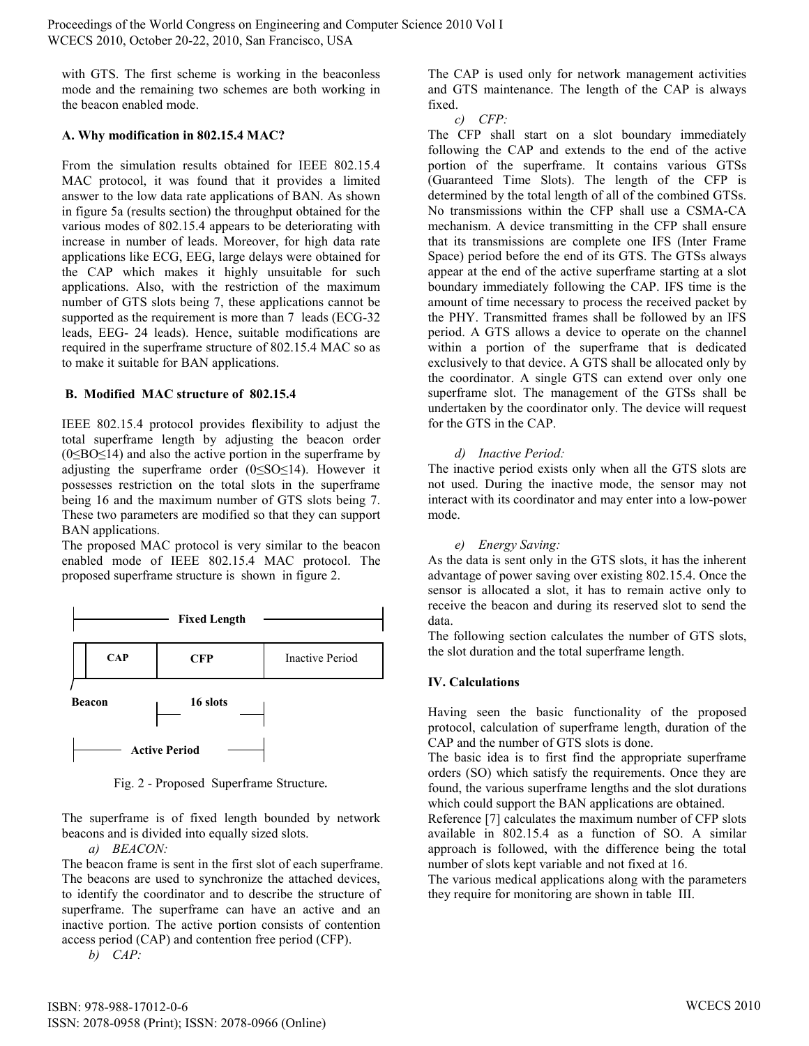with GTS. The first scheme is working in the beaconless mode and the remaining two schemes are both working in the beacon enabled mode.

### **A. Why modification in 802.15.4 MAC?**

From the simulation results obtained for IEEE 802.15.4 MAC protocol, it was found that it provides a limited answer to the low data rate applications of BAN. As shown in figure 5a (results section) the throughput obtained for the various modes of 802.15.4 appears to be deteriorating with increase in number of leads. Moreover, for high data rate applications like ECG, EEG, large delays were obtained for the CAP which makes it highly unsuitable for such applications. Also, with the restriction of the maximum number of GTS slots being 7, these applications cannot be supported as the requirement is more than 7 leads (ECG-32) leads, EEG- 24 leads). Hence, suitable modifications are required in the superframe structure of 802.15.4 MAC so as to make it suitable for BAN applications.

#### **B. Modified MAC structure of 802.15.4**

IEEE 802.15.4 protocol provides flexibility to adjust the total superframe length by adjusting the beacon order  $(0 \leq BO \leq 14)$  and also the active portion in the superframe by adjusting the superframe order  $(0 \leq S_0 \leq 14)$ . However it possesses restriction on the total slots in the superframe being 16 and the maximum number of GTS slots being 7. These two parameters are modified so that they can support BAN applications.

The proposed MAC protocol is very similar to the beacon enabled mode of IEEE 802.15.4 MAC protocol. The proposed superframe structure is shown in figure 2.



Fig. 2 - Proposed Superframe Structure*.* 

The superframe is of fixed length bounded by network beacons and is divided into equally sized slots.

*a) BEACON:* 

The beacon frame is sent in the first slot of each superframe. The beacons are used to synchronize the attached devices, to identify the coordinator and to describe the structure of superframe. The superframe can have an active and an inactive portion. The active portion consists of contention access period (CAP) and contention free period (CFP).

*b) CAP:* 

The CAP is used only for network management activities and GTS maintenance. The length of the CAP is always fixed.

*c) CFP:* 

The CFP shall start on a slot boundary immediately following the CAP and extends to the end of the active portion of the superframe. It contains various GTSs (Guaranteed Time Slots). The length of the CFP is determined by the total length of all of the combined GTSs. No transmissions within the CFP shall use a CSMA-CA mechanism. A device transmitting in the CFP shall ensure that its transmissions are complete one IFS (Inter Frame Space) period before the end of its GTS. The GTSs always appear at the end of the active superframe starting at a slot boundary immediately following the CAP. IFS time is the amount of time necessary to process the received packet by the PHY. Transmitted frames shall be followed by an IFS period. A GTS allows a device to operate on the channel within a portion of the superframe that is dedicated exclusively to that device. A GTS shall be allocated only by the coordinator. A single GTS can extend over only one superframe slot. The management of the GTSs shall be undertaken by the coordinator only. The device will request for the GTS in the CAP.

## *d) Inactive Period:*

The inactive period exists only when all the GTS slots are not used. During the inactive mode, the sensor may not interact with its coordinator and may enter into a low-power mode.

## *e) Energy Saving:*

As the data is sent only in the GTS slots, it has the inherent advantage of power saving over existing 802.15.4. Once the sensor is allocated a slot, it has to remain active only to receive the beacon and during its reserved slot to send the data.

The following section calculates the number of GTS slots, the slot duration and the total superframe length.

## **IV. Calculations**

Having seen the basic functionality of the proposed protocol, calculation of superframe length, duration of the CAP and the number of GTS slots is done.

The basic idea is to first find the appropriate superframe orders (SO) which satisfy the requirements. Once they are found, the various superframe lengths and the slot durations which could support the BAN applications are obtained.

Reference [7] calculates the maximum number of CFP slots available in 802.15.4 as a function of SO. A similar approach is followed, with the difference being the total number of slots kept variable and not fixed at 16.

The various medical applications along with the parameters they require for monitoring are shown in table III.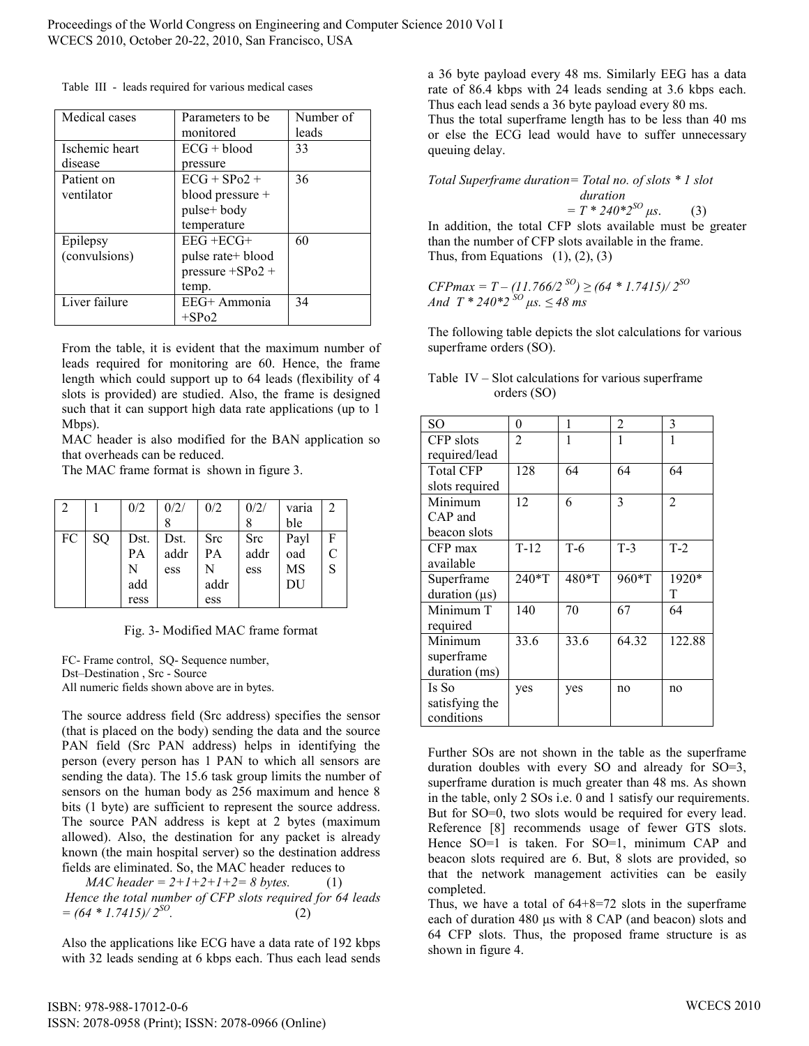Table III - leads required for various medical cases

| Medical cases  | Parameters to be    | Number of |
|----------------|---------------------|-----------|
|                | monitored           | leads     |
| Ischemic heart | $ECG + blood$       | 33        |
| disease        | pressure            |           |
| Patient on     | $ECG + SP02 +$      | 36        |
| ventilator     | blood pressure +    |           |
|                | pulse+ body         |           |
|                | temperature         |           |
| Epilepsy       | $EEG + ECG+$        | 60        |
| (convulsions)  | pulse rate+ blood   |           |
|                | $pressure + SPo2 +$ |           |
|                | temp.               |           |
| Liver failure  | EEG+ Ammonia        | 34        |
|                | $+$ SPo2            |           |

From the table, it is evident that the maximum number of leads required for monitoring are 60. Hence, the frame length which could support up to 64 leads (flexibility of 4 slots is provided) are studied. Also, the frame is designed such that it can support high data rate applications (up to 1) Mbps).

MAC header is also modified for the BAN application so that overheads can be reduced.

The MAC frame format is shown in figure 3.

| 2  |    | 0/2  | 0/2/ | 0/2  | 0/2/ | varia | 2            |
|----|----|------|------|------|------|-------|--------------|
|    |    |      |      |      |      | ble   |              |
| FC | SQ | Dst. | Dst. | Src  | Src  | Payl  | $\mathbf{F}$ |
|    |    | PA   | addr | PA   | addr | oad   |              |
|    |    | N    | ess  | N    | ess  | MS    | S            |
|    |    | add  |      | addr |      | DU    |              |
|    |    | ress |      | ess  |      |       |              |

Fig. 3- Modified MAC frame format

FC- Frame control, SQ- Sequence number, Dst–Destination , Src - Source All numeric fields shown above are in bytes.

The source address field (Src address) specifies the sensor (that is placed on the body) sending the data and the source PAN field (Src PAN address) helps in identifying the person (every person has 1 PAN to which all sensors are sending the data). The 15.6 task group limits the number of sensors on the human body as 256 maximum and hence 8 bits (1 byte) are sufficient to represent the source address. The source PAN address is kept at 2 bytes (maximum allowed). Also, the destination for any packet is already known (the main hospital server) so the destination address fields are eliminated. So, the MAC header reduces to

*MAC header* =  $2+1+2+1+2=8$  bytes. (1)  *Hence the total number of CFP slots required for 64 leads = (64 \* 1.7415)/ 2SO .* (2)

Also the applications like ECG have a data rate of 192 kbps with 32 leads sending at 6 kbps each. Thus each lead sends

a 36 byte payload every 48 ms. Similarly EEG has a data rate of 86.4 kbps with 24 leads sending at 3.6 kbps each. Thus each lead sends a 36 byte payload every 80 ms. Thus the total superframe length has to be less than 40 ms

or else the ECG lead would have to suffer unnecessary queuing delay.

*Total Superframe duration= Total no. of slots \* 1 slot duration*   $= T * 240 * 2^{SO} \mu s.$  (3)

In addition, the total CFP slots available must be greater than the number of CFP slots available in the frame. Thus, from Equations  $(1)$ ,  $(2)$ ,  $(3)$ 

 $CFPmax = T - (11.766/2^{SO}) \ge (64 * 1.7415)/2^{SO}$ *And*  $T * 240 * 2^{SO} \mu s. \leq 48 \text{ ms}$ 

The following table depicts the slot calculations for various superframe orders (SO).

| Table IV – Slot calculations for various superframe |  |
|-----------------------------------------------------|--|
| orders $(SO)$                                       |  |

| SO                 | 0              | 1     | 2     | 3              |
|--------------------|----------------|-------|-------|----------------|
| CFP slots          | $\overline{2}$ |       |       |                |
| required/lead      |                |       |       |                |
| <b>Total CFP</b>   | 128            | 64    | 64    | 64             |
| slots required     |                |       |       |                |
| Minimum            | 12             | 6     | 3     | $\overline{2}$ |
| CAP and            |                |       |       |                |
| beacon slots       |                |       |       |                |
| CFP max            | $T-12$         | $T-6$ | $T-3$ | $T-2$          |
| available          |                |       |       |                |
| Superframe         | 240*T          | 480*T | 960*T | 1920*          |
|                    |                |       |       |                |
| duration $(\mu s)$ |                |       |       | T              |
| Minimum T          | 140            | 70    | 67    | 64             |
| required           |                |       |       |                |
| Minimum            | 33.6           | 33.6  | 64.32 | 122.88         |
| superframe         |                |       |       |                |
| duration (ms)      |                |       |       |                |
| Is So              | yes            | yes   | no    | no             |
| satisfying the     |                |       |       |                |

Further SOs are not shown in the table as the superframe duration doubles with every SO and already for SO=3, superframe duration is much greater than 48 ms. As shown in the table, only 2 SOs i.e. 0 and 1 satisfy our requirements. But for SO=0, two slots would be required for every lead. Reference [8] recommends usage of fewer GTS slots. Hence SO=1 is taken. For SO=1, minimum CAP and beacon slots required are 6. But, 8 slots are provided, so that the network management activities can be easily completed.

Thus, we have a total of 64+8=72 slots in the superframe each of duration 480 µs with 8 CAP (and beacon) slots and 64 CFP slots. Thus, the proposed frame structure is as shown in figure 4.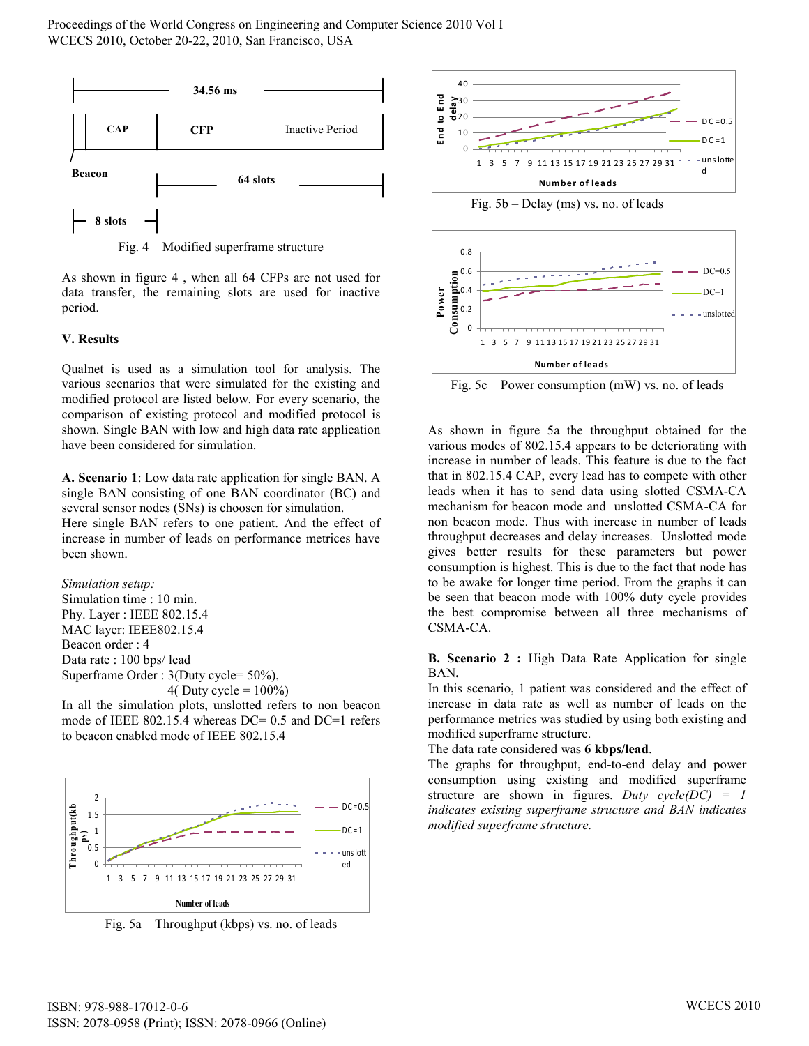

Fig. 4 – Modified superframe structure

As shown in figure 4 , when all 64 CFPs are not used for data transfer, the remaining slots are used for inactive period.

#### **V. Results**

Qualnet is used as a simulation tool for analysis. The various scenarios that were simulated for the existing and modified protocol are listed below. For every scenario, the comparison of existing protocol and modified protocol is shown. Single BAN with low and high data rate application have been considered for simulation.

**A. Scenario 1**: Low data rate application for single BAN. A single BAN consisting of one BAN coordinator (BC) and several sensor nodes (SNs) is choosen for simulation.

Here single BAN refers to one patient. And the effect of increase in number of leads on performance metrices have been shown.

```
Simulation setup: 
Simulation time : 10 min. 
Phy. Layer : IEEE 802.15.4 
MAC layer: IEEE802.15.4
```
Beacon order : 4 Data rate : 100 bps/ lead Superframe Order : 3(Duty cycle= 50%), 4( Duty cycle =  $100\%$ )

In all the simulation plots, unslotted refers to non beacon mode of IEEE 802.15.4 whereas DC= 0.5 and DC=1 refers to beacon enabled mode of IEEE 802.15.4



Fig. 5a – Throughput (kbps) vs. no. of leads



Fig. 5b – Delay (ms) vs. no. of leads



Fig. 5c – Power consumption (mW) vs. no. of leads

As shown in figure 5a the throughput obtained for the various modes of 802.15.4 appears to be deteriorating with increase in number of leads. This feature is due to the fact that in 802.15.4 CAP, every lead has to compete with other leads when it has to send data using slotted CSMA-CA mechanism for beacon mode and unslotted CSMA-CA for non beacon mode. Thus with increase in number of leads throughput decreases and delay increases. Unslotted mode gives better results for these parameters but power consumption is highest. This is due to the fact that node has to be awake for longer time period. From the graphs it can be seen that beacon mode with 100% duty cycle provides the best compromise between all three mechanisms of CSMA-CA.

**B. Scenario 2 :** High Data Rate Application for single BAN**.** 

In this scenario, 1 patient was considered and the effect of increase in data rate as well as number of leads on the performance metrics was studied by using both existing and modified superframe structure.

The data rate considered was **6 kbps/lead**.

The graphs for throughput, end-to-end delay and power consumption using existing and modified superframe structure are shown in figures. *Duty cycle(DC) = 1 indicates existing superframe structure and BAN indicates modified superframe structure.*